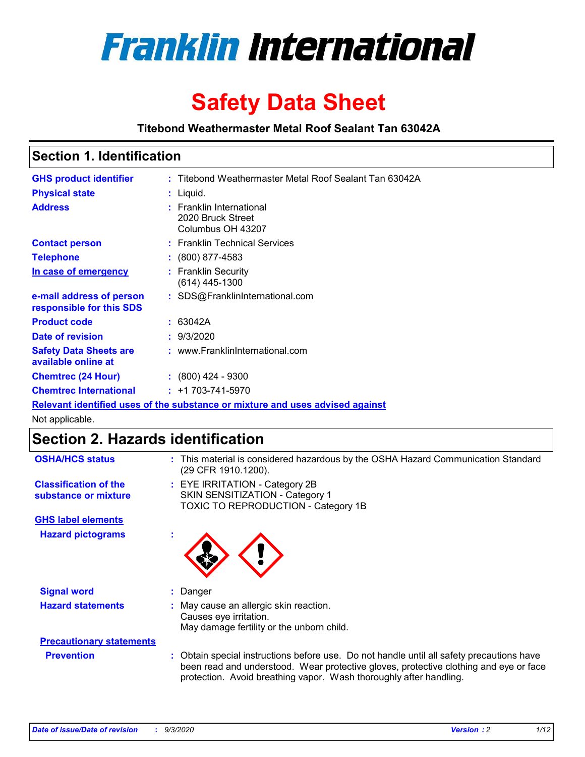

# **Safety Data Sheet**

**Titebond Weathermaster Metal Roof Sealant Tan 63042A**

### **Section 1. Identification**

| <b>GHS product identifier</b>                                                 |  | : Titebond Weathermaster Metal Roof Sealant Tan 63042A             |  |
|-------------------------------------------------------------------------------|--|--------------------------------------------------------------------|--|
| <b>Physical state</b>                                                         |  | : Liquid.                                                          |  |
| <b>Address</b>                                                                |  | : Franklin International<br>2020 Bruck Street<br>Columbus OH 43207 |  |
| <b>Contact person</b>                                                         |  | : Franklin Technical Services                                      |  |
| <b>Telephone</b>                                                              |  | $\div$ (800) 877-4583                                              |  |
| In case of emergency                                                          |  | : Franklin Security<br>(614) 445-1300                              |  |
| e-mail address of person<br>responsible for this SDS                          |  | : SDS@FranklinInternational.com                                    |  |
| <b>Product code</b>                                                           |  | : 63042A                                                           |  |
| Date of revision                                                              |  | : 9/3/2020                                                         |  |
| <b>Safety Data Sheets are</b><br>available online at                          |  | : www.FranklinInternational.com                                    |  |
| <b>Chemtrec (24 Hour)</b>                                                     |  | $(800)$ 424 - 9300                                                 |  |
| <b>Chemtrec International</b>                                                 |  | $: +1703 - 741 - 5970$                                             |  |
| Relevant identified uses of the substance or mixture and uses advised against |  |                                                                    |  |

Not applicable.

# **Section 2. Hazards identification**

| <b>OSHA/HCS status</b>                               | This material is considered hazardous by the OSHA Hazard Communication Standard<br>(29 CFR 1910.1200).                                                                                                                                                 |
|------------------------------------------------------|--------------------------------------------------------------------------------------------------------------------------------------------------------------------------------------------------------------------------------------------------------|
| <b>Classification of the</b><br>substance or mixture | : EYE IRRITATION - Category 2B<br>SKIN SENSITIZATION - Category 1<br>TOXIC TO REPRODUCTION - Category 1B                                                                                                                                               |
| <b>GHS label elements</b>                            |                                                                                                                                                                                                                                                        |
| <b>Hazard pictograms</b>                             |                                                                                                                                                                                                                                                        |
| <b>Signal word</b>                                   | Danger                                                                                                                                                                                                                                                 |
| <b>Hazard statements</b>                             | May cause an allergic skin reaction.<br>Causes eye irritation.<br>May damage fertility or the unborn child.                                                                                                                                            |
| <b>Precautionary statements</b>                      |                                                                                                                                                                                                                                                        |
| <b>Prevention</b>                                    | Obtain special instructions before use. Do not handle until all safety precautions have<br>been read and understood. Wear protective gloves, protective clothing and eye or face<br>protection. Avoid breathing vapor. Wash thoroughly after handling. |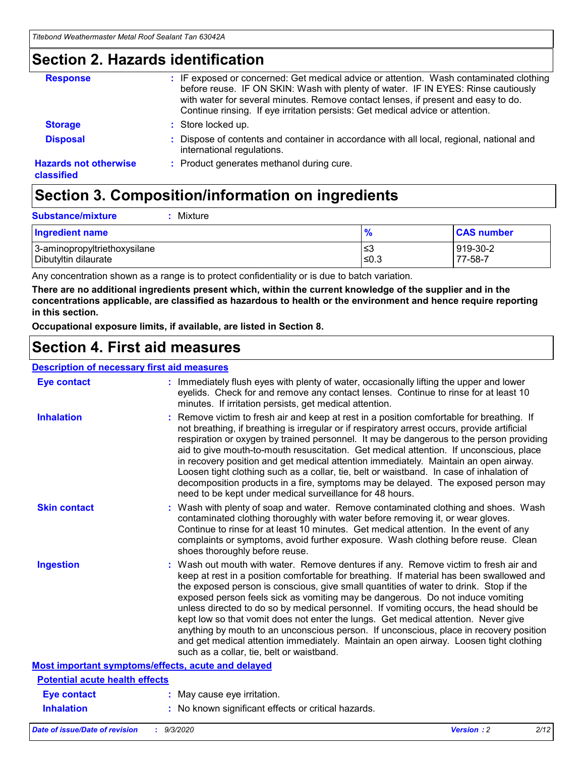### **Section 2. Hazards identification**

| <b>Response</b>                            | : IF exposed or concerned: Get medical advice or attention. Wash contaminated clothing<br>before reuse. IF ON SKIN: Wash with plenty of water. IF IN EYES: Rinse cautiously<br>with water for several minutes. Remove contact lenses, if present and easy to do.<br>Continue rinsing. If eye irritation persists: Get medical advice or attention. |
|--------------------------------------------|----------------------------------------------------------------------------------------------------------------------------------------------------------------------------------------------------------------------------------------------------------------------------------------------------------------------------------------------------|
| <b>Storage</b>                             | : Store locked up.                                                                                                                                                                                                                                                                                                                                 |
| <b>Disposal</b>                            | : Dispose of contents and container in accordance with all local, regional, national and<br>international regulations.                                                                                                                                                                                                                             |
| <b>Hazards not otherwise</b><br>classified | : Product generates methanol during cure.                                                                                                                                                                                                                                                                                                          |

# **Section 3. Composition/information on ingredients**

| <b>Substance/mixture</b> |  | Mixture |
|--------------------------|--|---------|
|--------------------------|--|---------|

| <b>Ingredient name</b>       | $\frac{9}{6}$ | <b>CAS number</b> |
|------------------------------|---------------|-------------------|
| 3-aminopropyltriethoxysilane | ՝≤3           | 919-30-2          |
| Dibutyltin dilaurate         | ∣≤0.3         | 77-58-7           |

Any concentration shown as a range is to protect confidentiality or is due to batch variation.

**There are no additional ingredients present which, within the current knowledge of the supplier and in the concentrations applicable, are classified as hazardous to health or the environment and hence require reporting in this section.**

**Occupational exposure limits, if available, are listed in Section 8.**

### **Section 4. First aid measures**

| <b>Description of necessary first aid measures</b> |                                                                                                                                                                                                                                                                                                                                                                                                                                                                                                                                                                                                                                                                                                                                                                           |
|----------------------------------------------------|---------------------------------------------------------------------------------------------------------------------------------------------------------------------------------------------------------------------------------------------------------------------------------------------------------------------------------------------------------------------------------------------------------------------------------------------------------------------------------------------------------------------------------------------------------------------------------------------------------------------------------------------------------------------------------------------------------------------------------------------------------------------------|
| <b>Eye contact</b>                                 | : Immediately flush eyes with plenty of water, occasionally lifting the upper and lower<br>eyelids. Check for and remove any contact lenses. Continue to rinse for at least 10<br>minutes. If irritation persists, get medical attention.                                                                                                                                                                                                                                                                                                                                                                                                                                                                                                                                 |
| <b>Inhalation</b>                                  | : Remove victim to fresh air and keep at rest in a position comfortable for breathing. If<br>not breathing, if breathing is irregular or if respiratory arrest occurs, provide artificial<br>respiration or oxygen by trained personnel. It may be dangerous to the person providing<br>aid to give mouth-to-mouth resuscitation. Get medical attention. If unconscious, place<br>in recovery position and get medical attention immediately. Maintain an open airway.<br>Loosen tight clothing such as a collar, tie, belt or waistband. In case of inhalation of<br>decomposition products in a fire, symptoms may be delayed. The exposed person may<br>need to be kept under medical surveillance for 48 hours.                                                       |
| <b>Skin contact</b>                                | : Wash with plenty of soap and water. Remove contaminated clothing and shoes. Wash<br>contaminated clothing thoroughly with water before removing it, or wear gloves.<br>Continue to rinse for at least 10 minutes. Get medical attention. In the event of any<br>complaints or symptoms, avoid further exposure. Wash clothing before reuse. Clean<br>shoes thoroughly before reuse.                                                                                                                                                                                                                                                                                                                                                                                     |
| <b>Ingestion</b>                                   | : Wash out mouth with water. Remove dentures if any. Remove victim to fresh air and<br>keep at rest in a position comfortable for breathing. If material has been swallowed and<br>the exposed person is conscious, give small quantities of water to drink. Stop if the<br>exposed person feels sick as vomiting may be dangerous. Do not induce vomiting<br>unless directed to do so by medical personnel. If vomiting occurs, the head should be<br>kept low so that vomit does not enter the lungs. Get medical attention. Never give<br>anything by mouth to an unconscious person. If unconscious, place in recovery position<br>and get medical attention immediately. Maintain an open airway. Loosen tight clothing<br>such as a collar, tie, belt or waistband. |
| Most important symptoms/effects, acute and delayed |                                                                                                                                                                                                                                                                                                                                                                                                                                                                                                                                                                                                                                                                                                                                                                           |
| <b>Potential acute health effects</b>              |                                                                                                                                                                                                                                                                                                                                                                                                                                                                                                                                                                                                                                                                                                                                                                           |
| <b>Eye contact</b>                                 | : May cause eye irritation.                                                                                                                                                                                                                                                                                                                                                                                                                                                                                                                                                                                                                                                                                                                                               |
| <b>Inhalation</b>                                  | : No known significant effects or critical hazards.                                                                                                                                                                                                                                                                                                                                                                                                                                                                                                                                                                                                                                                                                                                       |
|                                                    |                                                                                                                                                                                                                                                                                                                                                                                                                                                                                                                                                                                                                                                                                                                                                                           |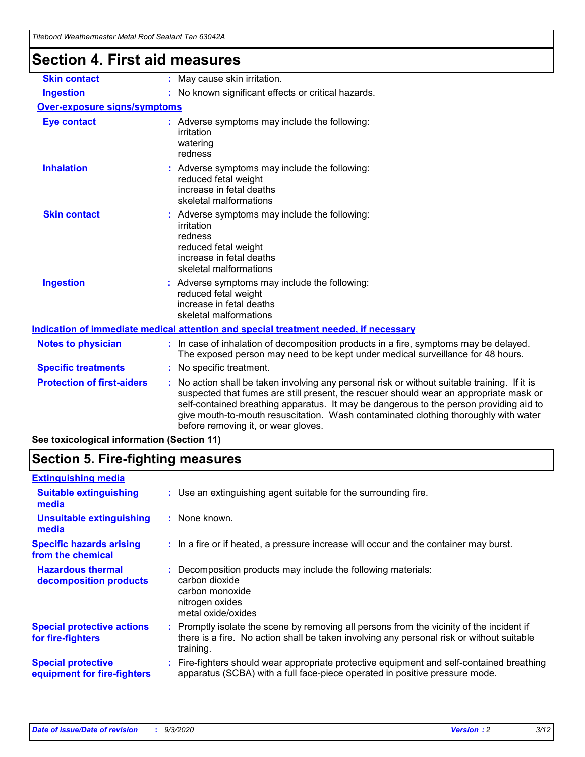| l itebond Weathermaster Metal Roof Sealant Tan 63042A |                                                                                                                                                                                                                                                                                                                                                                                                                 |
|-------------------------------------------------------|-----------------------------------------------------------------------------------------------------------------------------------------------------------------------------------------------------------------------------------------------------------------------------------------------------------------------------------------------------------------------------------------------------------------|
| <b>Section 4. First aid measures</b>                  |                                                                                                                                                                                                                                                                                                                                                                                                                 |
| <b>Skin contact</b>                                   | : May cause skin irritation.                                                                                                                                                                                                                                                                                                                                                                                    |
| <b>Ingestion</b>                                      | : No known significant effects or critical hazards.                                                                                                                                                                                                                                                                                                                                                             |
| <b>Over-exposure signs/symptoms</b>                   |                                                                                                                                                                                                                                                                                                                                                                                                                 |
| <b>Eye contact</b>                                    | : Adverse symptoms may include the following:<br>irritation<br>watering<br>redness                                                                                                                                                                                                                                                                                                                              |
| <b>Inhalation</b>                                     | : Adverse symptoms may include the following:<br>reduced fetal weight<br>increase in fetal deaths<br>skeletal malformations                                                                                                                                                                                                                                                                                     |
| <b>Skin contact</b>                                   | : Adverse symptoms may include the following:<br>irritation<br>redness<br>reduced fetal weight<br>increase in fetal deaths<br>skeletal malformations                                                                                                                                                                                                                                                            |
| <b>Ingestion</b>                                      | Adverse symptoms may include the following:<br>reduced fetal weight<br>increase in fetal deaths<br>skeletal malformations                                                                                                                                                                                                                                                                                       |
|                                                       | Indication of immediate medical attention and special treatment needed, if necessary                                                                                                                                                                                                                                                                                                                            |
| <b>Notes to physician</b>                             | : In case of inhalation of decomposition products in a fire, symptoms may be delayed.<br>The exposed person may need to be kept under medical surveillance for 48 hours.                                                                                                                                                                                                                                        |
| <b>Specific treatments</b>                            | : No specific treatment.                                                                                                                                                                                                                                                                                                                                                                                        |
| <b>Protection of first-aiders</b>                     | : No action shall be taken involving any personal risk or without suitable training. If it is<br>suspected that fumes are still present, the rescuer should wear an appropriate mask or<br>self-contained breathing apparatus. It may be dangerous to the person providing aid to<br>give mouth-to-mouth resuscitation. Wash contaminated clothing thoroughly with water<br>before removing it, or wear gloves. |
| See toxicological information (Section 11)            |                                                                                                                                                                                                                                                                                                                                                                                                                 |

# **Section 5. Fire-fighting measures**

| <b>Extinguishing media</b>                               |                                                                                                                                                                                                     |
|----------------------------------------------------------|-----------------------------------------------------------------------------------------------------------------------------------------------------------------------------------------------------|
| <b>Suitable extinguishing</b><br>media                   | : Use an extinguishing agent suitable for the surrounding fire.                                                                                                                                     |
| <b>Unsuitable extinguishing</b><br>media                 | : None known.                                                                                                                                                                                       |
| <b>Specific hazards arising</b><br>from the chemical     | : In a fire or if heated, a pressure increase will occur and the container may burst.                                                                                                               |
| <b>Hazardous thermal</b><br>decomposition products       | : Decomposition products may include the following materials:<br>carbon dioxide<br>carbon monoxide<br>nitrogen oxides<br>metal oxide/oxides                                                         |
| <b>Special protective actions</b><br>for fire-fighters   | : Promptly isolate the scene by removing all persons from the vicinity of the incident if<br>there is a fire. No action shall be taken involving any personal risk or without suitable<br>training. |
| <b>Special protective</b><br>equipment for fire-fighters | : Fire-fighters should wear appropriate protective equipment and self-contained breathing<br>apparatus (SCBA) with a full face-piece operated in positive pressure mode.                            |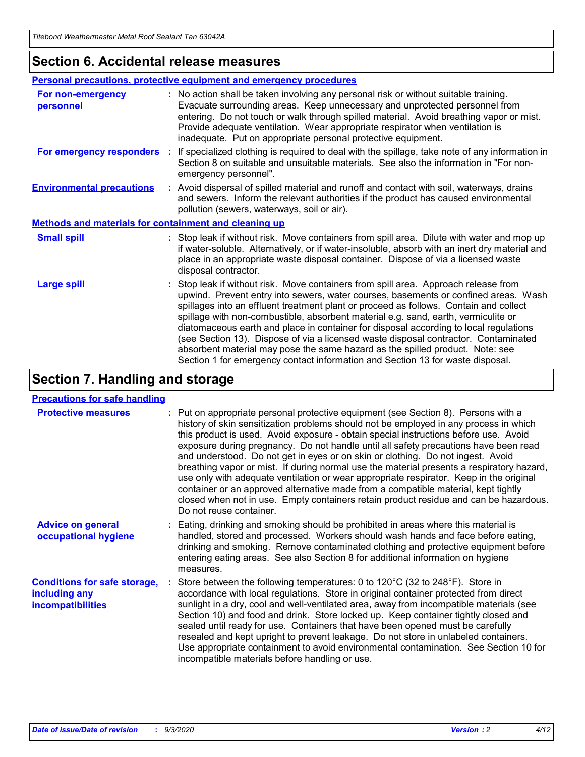### **Section 6. Accidental release measures**

|                                                              | Personal precautions, protective equipment and emergency procedures                                                                                                                                                                                                                                                                                                                                                                                                                                                                                                                                                                                                                                          |  |  |  |
|--------------------------------------------------------------|--------------------------------------------------------------------------------------------------------------------------------------------------------------------------------------------------------------------------------------------------------------------------------------------------------------------------------------------------------------------------------------------------------------------------------------------------------------------------------------------------------------------------------------------------------------------------------------------------------------------------------------------------------------------------------------------------------------|--|--|--|
| For non-emergency<br>personnel                               | : No action shall be taken involving any personal risk or without suitable training.<br>Evacuate surrounding areas. Keep unnecessary and unprotected personnel from<br>entering. Do not touch or walk through spilled material. Avoid breathing vapor or mist.<br>Provide adequate ventilation. Wear appropriate respirator when ventilation is<br>inadequate. Put on appropriate personal protective equipment.                                                                                                                                                                                                                                                                                             |  |  |  |
| For emergency responders                                     | : If specialized clothing is required to deal with the spillage, take note of any information in<br>Section 8 on suitable and unsuitable materials. See also the information in "For non-<br>emergency personnel".                                                                                                                                                                                                                                                                                                                                                                                                                                                                                           |  |  |  |
| <b>Environmental precautions</b>                             | : Avoid dispersal of spilled material and runoff and contact with soil, waterways, drains<br>and sewers. Inform the relevant authorities if the product has caused environmental<br>pollution (sewers, waterways, soil or air).                                                                                                                                                                                                                                                                                                                                                                                                                                                                              |  |  |  |
| <b>Methods and materials for containment and cleaning up</b> |                                                                                                                                                                                                                                                                                                                                                                                                                                                                                                                                                                                                                                                                                                              |  |  |  |
| <b>Small spill</b>                                           | : Stop leak if without risk. Move containers from spill area. Dilute with water and mop up<br>if water-soluble. Alternatively, or if water-insoluble, absorb with an inert dry material and<br>place in an appropriate waste disposal container. Dispose of via a licensed waste<br>disposal contractor.                                                                                                                                                                                                                                                                                                                                                                                                     |  |  |  |
| <b>Large spill</b>                                           | : Stop leak if without risk. Move containers from spill area. Approach release from<br>upwind. Prevent entry into sewers, water courses, basements or confined areas. Wash<br>spillages into an effluent treatment plant or proceed as follows. Contain and collect<br>spillage with non-combustible, absorbent material e.g. sand, earth, vermiculite or<br>diatomaceous earth and place in container for disposal according to local regulations<br>(see Section 13). Dispose of via a licensed waste disposal contractor. Contaminated<br>absorbent material may pose the same hazard as the spilled product. Note: see<br>Section 1 for emergency contact information and Section 13 for waste disposal. |  |  |  |

# **Section 7. Handling and storage**

#### **Precautions for safe handling**

| <b>Protective measures</b>                                                       | : Put on appropriate personal protective equipment (see Section 8). Persons with a<br>history of skin sensitization problems should not be employed in any process in which<br>this product is used. Avoid exposure - obtain special instructions before use. Avoid<br>exposure during pregnancy. Do not handle until all safety precautions have been read<br>and understood. Do not get in eyes or on skin or clothing. Do not ingest. Avoid<br>breathing vapor or mist. If during normal use the material presents a respiratory hazard,<br>use only with adequate ventilation or wear appropriate respirator. Keep in the original<br>container or an approved alternative made from a compatible material, kept tightly<br>closed when not in use. Empty containers retain product residue and can be hazardous.<br>Do not reuse container. |
|----------------------------------------------------------------------------------|--------------------------------------------------------------------------------------------------------------------------------------------------------------------------------------------------------------------------------------------------------------------------------------------------------------------------------------------------------------------------------------------------------------------------------------------------------------------------------------------------------------------------------------------------------------------------------------------------------------------------------------------------------------------------------------------------------------------------------------------------------------------------------------------------------------------------------------------------|
| <b>Advice on general</b><br>occupational hygiene                                 | : Eating, drinking and smoking should be prohibited in areas where this material is<br>handled, stored and processed. Workers should wash hands and face before eating,<br>drinking and smoking. Remove contaminated clothing and protective equipment before<br>entering eating areas. See also Section 8 for additional information on hygiene<br>measures.                                                                                                                                                                                                                                                                                                                                                                                                                                                                                    |
| <b>Conditions for safe storage,</b><br>including any<br><i>incompatibilities</i> | Store between the following temperatures: 0 to $120^{\circ}$ C (32 to $248^{\circ}$ F). Store in<br>accordance with local regulations. Store in original container protected from direct<br>sunlight in a dry, cool and well-ventilated area, away from incompatible materials (see<br>Section 10) and food and drink. Store locked up. Keep container tightly closed and<br>sealed until ready for use. Containers that have been opened must be carefully<br>resealed and kept upright to prevent leakage. Do not store in unlabeled containers.<br>Use appropriate containment to avoid environmental contamination. See Section 10 for<br>incompatible materials before handling or use.                                                                                                                                                     |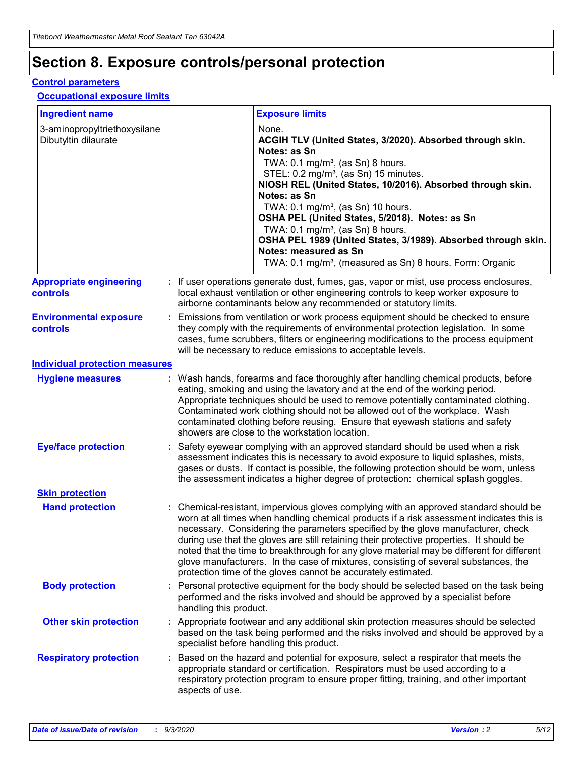# **Section 8. Exposure controls/personal protection**

#### **Control parameters**

#### **Occupational exposure limits**

| <b>Ingredient name</b>                               |    |                        | <b>Exposure limits</b>                                                                                                                                                                                                                                                                                                                                                                                                                                                                                                                                                                                                 |
|------------------------------------------------------|----|------------------------|------------------------------------------------------------------------------------------------------------------------------------------------------------------------------------------------------------------------------------------------------------------------------------------------------------------------------------------------------------------------------------------------------------------------------------------------------------------------------------------------------------------------------------------------------------------------------------------------------------------------|
| 3-aminopropyltriethoxysilane<br>Dibutyltin dilaurate |    |                        | None.<br>ACGIH TLV (United States, 3/2020). Absorbed through skin.<br>Notes: as Sn<br>TWA: $0.1 \text{ mg/m}^3$ , (as Sn) 8 hours.<br>STEL: 0.2 mg/m <sup>3</sup> , (as Sn) 15 minutes.<br>NIOSH REL (United States, 10/2016). Absorbed through skin.<br>Notes: as Sn<br>TWA: 0.1 mg/m <sup>3</sup> , (as Sn) 10 hours.<br>OSHA PEL (United States, 5/2018). Notes: as Sn<br>TWA: 0.1 mg/m <sup>3</sup> , (as Sn) 8 hours.<br>OSHA PEL 1989 (United States, 3/1989). Absorbed through skin.<br>Notes: measured as Sn<br>TWA: 0.1 mg/m <sup>3</sup> , (measured as Sn) 8 hours. Form: Organic                           |
| <b>Appropriate engineering</b><br>controls           |    |                        | : If user operations generate dust, fumes, gas, vapor or mist, use process enclosures,<br>local exhaust ventilation or other engineering controls to keep worker exposure to<br>airborne contaminants below any recommended or statutory limits.                                                                                                                                                                                                                                                                                                                                                                       |
| <b>Environmental exposure</b><br>controls            |    |                        | Emissions from ventilation or work process equipment should be checked to ensure<br>they comply with the requirements of environmental protection legislation. In some<br>cases, fume scrubbers, filters or engineering modifications to the process equipment<br>will be necessary to reduce emissions to acceptable levels.                                                                                                                                                                                                                                                                                          |
| <b>Individual protection measures</b>                |    |                        |                                                                                                                                                                                                                                                                                                                                                                                                                                                                                                                                                                                                                        |
| <b>Hygiene measures</b>                              |    |                        | : Wash hands, forearms and face thoroughly after handling chemical products, before<br>eating, smoking and using the lavatory and at the end of the working period.<br>Appropriate techniques should be used to remove potentially contaminated clothing.<br>Contaminated work clothing should not be allowed out of the workplace. Wash<br>contaminated clothing before reusing. Ensure that eyewash stations and safety<br>showers are close to the workstation location.                                                                                                                                            |
| <b>Eye/face protection</b>                           |    |                        | Safety eyewear complying with an approved standard should be used when a risk<br>assessment indicates this is necessary to avoid exposure to liquid splashes, mists,<br>gases or dusts. If contact is possible, the following protection should be worn, unless<br>the assessment indicates a higher degree of protection: chemical splash goggles.                                                                                                                                                                                                                                                                    |
| <b>Skin protection</b>                               |    |                        |                                                                                                                                                                                                                                                                                                                                                                                                                                                                                                                                                                                                                        |
| <b>Hand protection</b>                               |    |                        | : Chemical-resistant, impervious gloves complying with an approved standard should be<br>worn at all times when handling chemical products if a risk assessment indicates this is<br>necessary. Considering the parameters specified by the glove manufacturer, check<br>during use that the gloves are still retaining their protective properties. It should be<br>noted that the time to breakthrough for any glove material may be different for different<br>glove manufacturers. In the case of mixtures, consisting of several substances, the<br>protection time of the gloves cannot be accurately estimated. |
| <b>Body protection</b>                               |    | handling this product. | Personal protective equipment for the body should be selected based on the task being<br>performed and the risks involved and should be approved by a specialist before                                                                                                                                                                                                                                                                                                                                                                                                                                                |
| <b>Other skin protection</b>                         |    |                        | : Appropriate footwear and any additional skin protection measures should be selected<br>based on the task being performed and the risks involved and should be approved by a<br>specialist before handling this product.                                                                                                                                                                                                                                                                                                                                                                                              |
| <b>Respiratory protection</b>                        | ÷. | aspects of use.        | Based on the hazard and potential for exposure, select a respirator that meets the<br>appropriate standard or certification. Respirators must be used according to a<br>respiratory protection program to ensure proper fitting, training, and other important                                                                                                                                                                                                                                                                                                                                                         |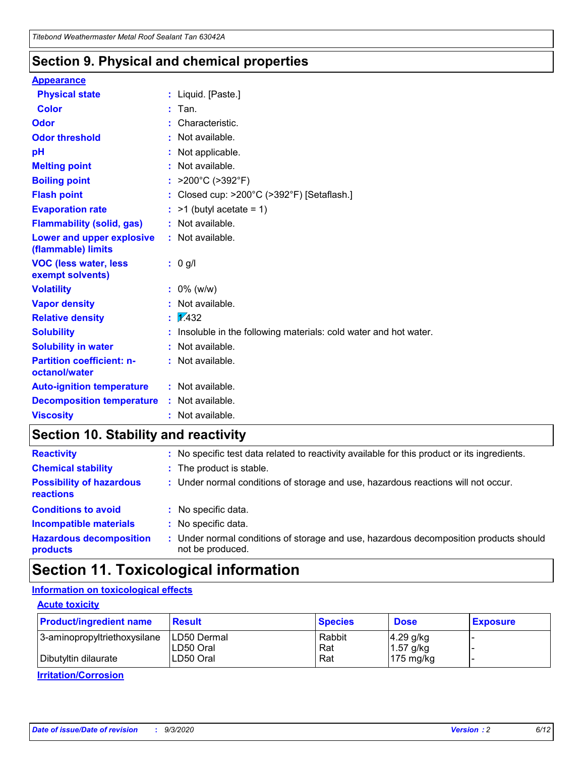### **Section 9. Physical and chemical properties**

#### **Appearance**

| <b>Physical state</b>                             |    | : Liquid. [Paste.]                                              |
|---------------------------------------------------|----|-----------------------------------------------------------------|
| <b>Color</b>                                      |    | Tan.                                                            |
| Odor                                              |    | Characteristic.                                                 |
| <b>Odor threshold</b>                             | ÷. | Not available.                                                  |
| pH                                                |    | Not applicable.                                                 |
| <b>Melting point</b>                              |    | : Not available.                                                |
| <b>Boiling point</b>                              |    | : $>200^{\circ}$ C ( $>392^{\circ}$ F)                          |
| <b>Flash point</b>                                |    | : Closed cup: $>200^{\circ}$ C ( $>392^{\circ}$ F) [Setaflash.] |
| <b>Evaporation rate</b>                           |    | $:$ >1 (butyl acetate = 1)                                      |
| <b>Flammability (solid, gas)</b>                  |    | : Not available.                                                |
| Lower and upper explosive<br>(flammable) limits   |    | : Not available.                                                |
| <b>VOC (less water, less</b><br>exempt solvents)  |    | $: 0$ g/l                                                       |
| <b>Volatility</b>                                 |    | $: 0\%$ (w/w)                                                   |
| <b>Vapor density</b>                              |    | Not available.                                                  |
| <b>Relative density</b>                           |    | $\sqrt{x}$ 432                                                  |
| <b>Solubility</b>                                 |    | Insoluble in the following materials: cold water and hot water. |
| <b>Solubility in water</b>                        |    | : Not available.                                                |
| <b>Partition coefficient: n-</b><br>octanol/water |    | $:$ Not available.                                              |
| <b>Auto-ignition temperature</b>                  |    | $:$ Not available.                                              |
| <b>Decomposition temperature</b>                  |    | : Not available.                                                |
| <b>Viscosity</b>                                  |    | : Not available.                                                |

### **Section 10. Stability and reactivity**

| <b>Reactivity</b>                            |    | : No specific test data related to reactivity available for this product or its ingredients.            |
|----------------------------------------------|----|---------------------------------------------------------------------------------------------------------|
| <b>Chemical stability</b>                    |    | : The product is stable.                                                                                |
| <b>Possibility of hazardous</b><br>reactions |    | : Under normal conditions of storage and use, hazardous reactions will not occur.                       |
| <b>Conditions to avoid</b>                   |    | : No specific data.                                                                                     |
| <b>Incompatible materials</b>                |    | : No specific data.                                                                                     |
| <b>Hazardous decomposition</b><br>products   | ÷. | Under normal conditions of storage and use, hazardous decomposition products should<br>not be produced. |

# **Section 11. Toxicological information**

### **Information on toxicological effects**

#### **Acute toxicity**

| <b>Product/ingredient name</b> | <b>Result</b>           | <b>Species</b> | <b>Dose</b>                | <b>Exposure</b> |
|--------------------------------|-------------------------|----------------|----------------------------|-----------------|
| 3-aminopropyltriethoxysilane   | <b>ILD50 Dermal</b>     | Rabbit         | 4.29 g/kg                  |                 |
| Dibutyltin dilaurate           | ILD50 Oral<br>LD50 Oral | Rat<br>Rat     | $1.57$ g/kg<br>175 $mg/kg$ |                 |
|                                |                         |                |                            |                 |

**Irritation/Corrosion**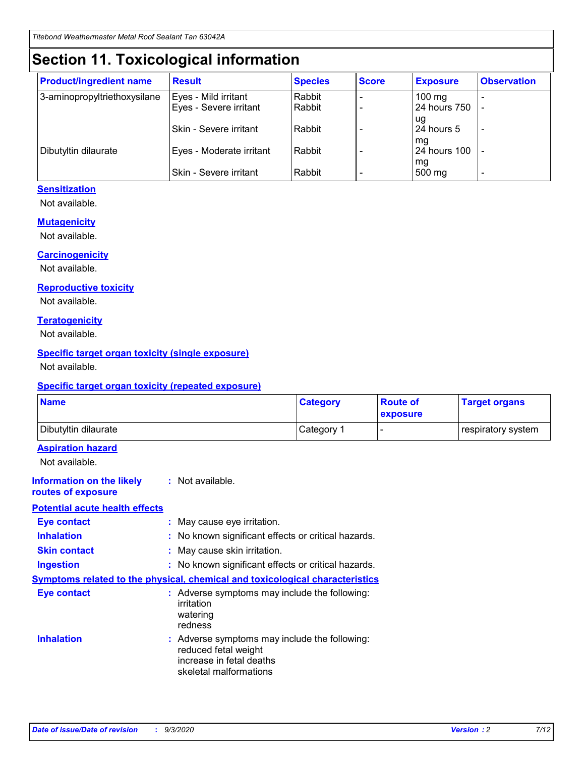# **Section 11. Toxicological information**

| <b>Product/ingredient name</b> | <b>Result</b>                 | <b>Species</b> | <b>Score</b> | <b>Exposure</b>    | <b>Observation</b> |
|--------------------------------|-------------------------------|----------------|--------------|--------------------|--------------------|
| 3-aminopropyltriethoxysilane   | Eyes - Mild irritant          | Rabbit         |              | $100$ mg           |                    |
|                                | Eyes - Severe irritant        | Rabbit         |              | 24 hours 750       |                    |
|                                |                               |                |              | ug                 |                    |
|                                | <b>Skin - Severe irritant</b> | Rabbit         |              | 24 hours 5         | ۰                  |
| Dibutyltin dilaurate           | Eyes - Moderate irritant      | Rabbit         |              | mq<br>24 hours 100 |                    |
|                                |                               |                |              | mg                 |                    |
|                                | Skin - Severe irritant        | Rabbit         |              | 500 mg             |                    |

#### **Sensitization**

Not available.

#### **Mutagenicity**

Not available.

#### **Carcinogenicity**

Not available.

#### **Reproductive toxicity**

Not available.

#### **Teratogenicity**

Not available.

#### **Specific target organ toxicity (single exposure)**

Not available.

#### **Specific target organ toxicity (repeated exposure)**

| <b>Name</b>                                                                         |                                                                            | <b>Category</b>                                     | <b>Route of</b><br>exposure | <b>Target organs</b> |  |  |
|-------------------------------------------------------------------------------------|----------------------------------------------------------------------------|-----------------------------------------------------|-----------------------------|----------------------|--|--|
| Dibutyltin dilaurate                                                                |                                                                            | Category 1                                          | -                           | respiratory system   |  |  |
| <b>Aspiration hazard</b><br>Not available.                                          |                                                                            |                                                     |                             |                      |  |  |
| <b>Information on the likely</b><br>routes of exposure                              | : Not available.                                                           |                                                     |                             |                      |  |  |
| <b>Potential acute health effects</b>                                               |                                                                            |                                                     |                             |                      |  |  |
| <b>Eye contact</b>                                                                  | : May cause eye irritation.                                                |                                                     |                             |                      |  |  |
| <b>Inhalation</b>                                                                   |                                                                            | : No known significant effects or critical hazards. |                             |                      |  |  |
| <b>Skin contact</b>                                                                 |                                                                            | : May cause skin irritation.                        |                             |                      |  |  |
| <b>Ingestion</b>                                                                    |                                                                            | : No known significant effects or critical hazards. |                             |                      |  |  |
| <b>Symptoms related to the physical, chemical and toxicological characteristics</b> |                                                                            |                                                     |                             |                      |  |  |
| <b>Eye contact</b>                                                                  | irritation<br>watering<br>redness                                          | : Adverse symptoms may include the following:       |                             |                      |  |  |
| <b>Inhalation</b>                                                                   | reduced fetal weight<br>increase in fetal deaths<br>skeletal malformations | : Adverse symptoms may include the following:       |                             |                      |  |  |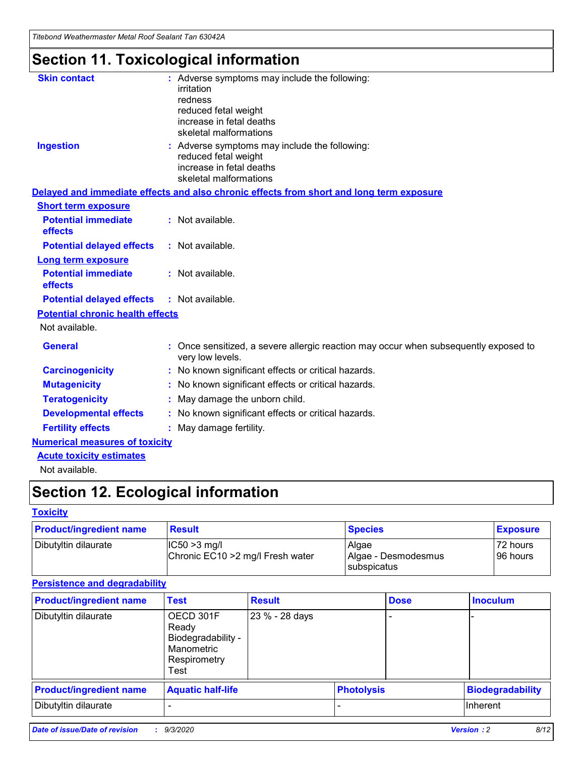*Titebond Weathermaster Metal Roof Sealant Tan 63042A*

# **Section 11. Toxicological information**

| <b>Skin contact</b>                     | irritation<br>redness<br>reduced fetal weight<br>increase in fetal deaths<br>skeletal malformations | : Adverse symptoms may include the following:                                            |
|-----------------------------------------|-----------------------------------------------------------------------------------------------------|------------------------------------------------------------------------------------------|
| <b>Ingestion</b>                        | reduced fetal weight<br>increase in fetal deaths<br>skeletal malformations                          | : Adverse symptoms may include the following:                                            |
|                                         |                                                                                                     | Delayed and immediate effects and also chronic effects from short and long term exposure |
| <b>Short term exposure</b>              |                                                                                                     |                                                                                          |
| <b>Potential immediate</b><br>effects   | : Not available.                                                                                    |                                                                                          |
| <b>Potential delayed effects</b>        | : Not available.                                                                                    |                                                                                          |
| <b>Long term exposure</b>               |                                                                                                     |                                                                                          |
| <b>Potential immediate</b><br>effects   | : Not available.                                                                                    |                                                                                          |
| <b>Potential delayed effects</b>        | : Not available.                                                                                    |                                                                                          |
| <b>Potential chronic health effects</b> |                                                                                                     |                                                                                          |
| Not available.                          |                                                                                                     |                                                                                          |
| <b>General</b>                          | very low levels.                                                                                    | : Once sensitized, a severe allergic reaction may occur when subsequently exposed to     |
| <b>Carcinogenicity</b>                  |                                                                                                     | : No known significant effects or critical hazards.                                      |
| <b>Mutagenicity</b>                     |                                                                                                     | No known significant effects or critical hazards.                                        |
| <b>Teratogenicity</b>                   |                                                                                                     | May damage the unborn child.                                                             |
| <b>Developmental effects</b>            |                                                                                                     | : No known significant effects or critical hazards.                                      |
| <b>Fertility effects</b>                | May damage fertility.                                                                               |                                                                                          |
| <b>Numerical measures of toxicity</b>   |                                                                                                     |                                                                                          |
| <b>Acute toxicity estimates</b>         |                                                                                                     |                                                                                          |
| Not available.                          |                                                                                                     |                                                                                          |

# **Section 12. Ecological information**

#### **Toxicity**

| <b>Product/ingredient name</b> | <b>Result</b>                                       | <b>Species</b>               | <b>Exposure</b>       |
|--------------------------------|-----------------------------------------------------|------------------------------|-----------------------|
| Dibutyltin dilaurate           | $ IC50>3$ mg/l<br>Chronic EC10 > 2 mg/l Fresh water | Algae<br>Algae - Desmodesmus | 72 hours<br>196 hours |
|                                |                                                     | subspicatus                  |                       |

#### **Persistence and degradability**

| <b>Product/ingredient name</b> | <b>Test</b>                                                                    | <b>Result</b>  |                   | <b>Dose</b> | <b>Inoculum</b>         |
|--------------------------------|--------------------------------------------------------------------------------|----------------|-------------------|-------------|-------------------------|
| Dibutyltin dilaurate           | OECD 301F<br>Ready<br>Biodegradability -<br>Manometric<br>Respirometry<br>Test | 23 % - 28 days |                   |             |                         |
| <b>Product/ingredient name</b> | <b>Aquatic half-life</b>                                                       |                | <b>Photolysis</b> |             | <b>Biodegradability</b> |
| Dibutyltin dilaurate           |                                                                                |                |                   |             | <b>Inherent</b>         |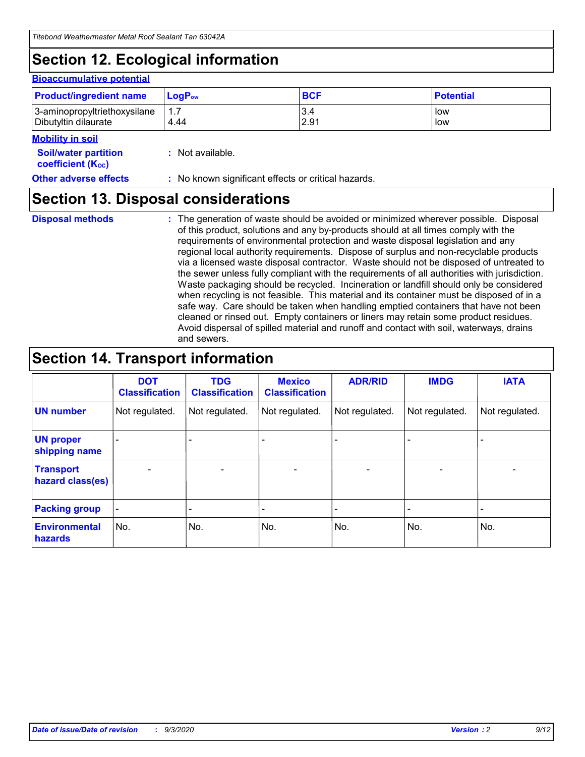# **Section 12. Ecological information**

#### **Bioaccumulative potential**

| <b>Product/ingredient name</b> | $\mathsf{LogP}_\mathsf{ow}$ | <b>BCF</b> | <b>Potential</b> |
|--------------------------------|-----------------------------|------------|------------------|
| 3-aminopropyltriethoxysilane   | 1.7                         | 3.4        | low              |
| Dibutyltin dilaurate           | 4.44                        | 2.91       | low              |

#### **Mobility in soil**

| .                           |                  |
|-----------------------------|------------------|
| <b>Soil/water partition</b> | : Not available. |
| <b>coefficient (Koc)</b>    |                  |
|                             |                  |

### **Other adverse effects** : No known significant effects or critical hazards.

### **Section 13. Disposal considerations**

**Disposal methods :**

The generation of waste should be avoided or minimized wherever possible. Disposal of this product, solutions and any by-products should at all times comply with the requirements of environmental protection and waste disposal legislation and any regional local authority requirements. Dispose of surplus and non-recyclable products via a licensed waste disposal contractor. Waste should not be disposed of untreated to the sewer unless fully compliant with the requirements of all authorities with jurisdiction. Waste packaging should be recycled. Incineration or landfill should only be considered when recycling is not feasible. This material and its container must be disposed of in a safe way. Care should be taken when handling emptied containers that have not been cleaned or rinsed out. Empty containers or liners may retain some product residues. Avoid dispersal of spilled material and runoff and contact with soil, waterways, drains and sewers.

### **Section 14. Transport information**

|                                      | <b>DOT</b><br><b>Classification</b> | <b>TDG</b><br><b>Classification</b> | <b>Mexico</b><br><b>Classification</b> | <b>ADR/RID</b>           | <b>IMDG</b>              | <b>IATA</b>    |
|--------------------------------------|-------------------------------------|-------------------------------------|----------------------------------------|--------------------------|--------------------------|----------------|
| <b>UN number</b>                     | Not regulated.                      | Not regulated.                      | Not regulated.                         | Not regulated.           | Not regulated.           | Not regulated. |
| <b>UN proper</b><br>shipping name    |                                     |                                     |                                        |                          |                          |                |
| <b>Transport</b><br>hazard class(es) |                                     | $\overline{\phantom{0}}$            | $\qquad \qquad \blacksquare$           | $\overline{\phantom{0}}$ | $\overline{\phantom{0}}$ |                |
| <b>Packing group</b>                 |                                     |                                     |                                        |                          |                          |                |
| <b>Environmental</b><br>hazards      | No.                                 | No.                                 | No.                                    | No.                      | No.                      | No.            |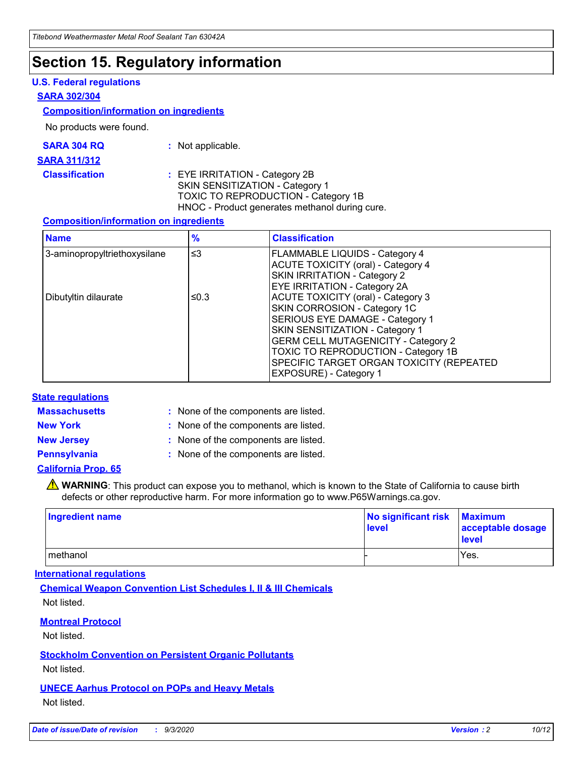### **Section 15. Regulatory information**

#### **U.S. Federal regulations**

#### **SARA 302/304**

#### **Composition/information on ingredients**

No products were found.

| SARA 304 RQ | Not applicable. |
|-------------|-----------------|
|-------------|-----------------|

#### **SARA 311/312**

**Classification :** EYE IRRITATION - Category 2B SKIN SENSITIZATION - Category 1 TOXIC TO REPRODUCTION - Category 1B HNOC - Product generates methanol during cure.

#### **Composition/information on ingredients**

| <b>Name</b>                  | $\frac{9}{6}$ | <b>Classification</b>                                                                                                                                                                                                                                                                                      |
|------------------------------|---------------|------------------------------------------------------------------------------------------------------------------------------------------------------------------------------------------------------------------------------------------------------------------------------------------------------------|
| 3-aminopropyltriethoxysilane | $\leq$ 3      | <b>FLAMMABLE LIQUIDS - Category 4</b><br><b>ACUTE TOXICITY (oral) - Category 4</b><br><b>SKIN IRRITATION - Category 2</b><br>EYE IRRITATION - Category 2A                                                                                                                                                  |
| Dibutyltin dilaurate         | ≤0.3          | <b>ACUTE TOXICITY (oral) - Category 3</b><br>SKIN CORROSION - Category 1C<br>SERIOUS EYE DAMAGE - Category 1<br>SKIN SENSITIZATION - Category 1<br><b>GERM CELL MUTAGENICITY - Category 2</b><br>TOXIC TO REPRODUCTION - Category 1B<br>SPECIFIC TARGET ORGAN TOXICITY (REPEATED<br>EXPOSURE) - Category 1 |

#### **State regulations**

**Massachusetts :**

: None of the components are listed.

**New York :** None of the components are listed. **New Jersey :** None of the components are listed.

**Pennsylvania :** None of the components are listed.

#### **California Prop. 65**

WARNING: This product can expose you to methanol, which is known to the State of California to cause birth defects or other reproductive harm. For more information go to www.P65Warnings.ca.gov.

| Ingredient name | No significant risk<br>level | <b>Maximum</b><br>acceptable dosage<br><b>level</b> |
|-----------------|------------------------------|-----------------------------------------------------|
| l methanol      |                              | Yes.                                                |

#### **International regulations**

**Chemical Weapon Convention List Schedules I, II & III Chemicals** Not listed.

#### **Montreal Protocol**

Not listed.

**Stockholm Convention on Persistent Organic Pollutants**

Not listed.

#### **UNECE Aarhus Protocol on POPs and Heavy Metals** Not listed.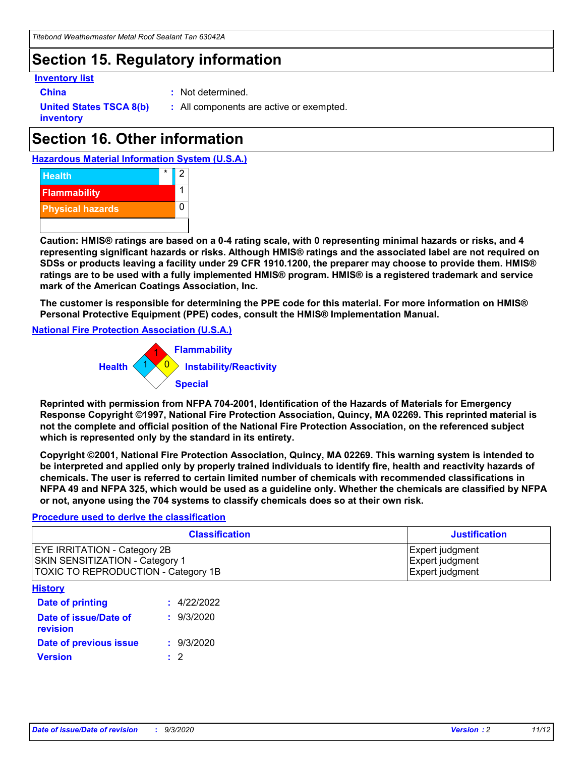# **Section 15. Regulatory information**

#### **Inventory list**

- 
- **China :** Not determined.

**United States TSCA 8(b) inventory**

**:** All components are active or exempted.

# **Section 16. Other information**

**Hazardous Material Information System (U.S.A.)**



**Caution: HMIS® ratings are based on a 0-4 rating scale, with 0 representing minimal hazards or risks, and 4 representing significant hazards or risks. Although HMIS® ratings and the associated label are not required on SDSs or products leaving a facility under 29 CFR 1910.1200, the preparer may choose to provide them. HMIS® ratings are to be used with a fully implemented HMIS® program. HMIS® is a registered trademark and service mark of the American Coatings Association, Inc.**

**The customer is responsible for determining the PPE code for this material. For more information on HMIS® Personal Protective Equipment (PPE) codes, consult the HMIS® Implementation Manual.**

**National Fire Protection Association (U.S.A.)**



**Reprinted with permission from NFPA 704-2001, Identification of the Hazards of Materials for Emergency Response Copyright ©1997, National Fire Protection Association, Quincy, MA 02269. This reprinted material is not the complete and official position of the National Fire Protection Association, on the referenced subject which is represented only by the standard in its entirety.**

**Copyright ©2001, National Fire Protection Association, Quincy, MA 02269. This warning system is intended to be interpreted and applied only by properly trained individuals to identify fire, health and reactivity hazards of chemicals. The user is referred to certain limited number of chemicals with recommended classifications in NFPA 49 and NFPA 325, which would be used as a guideline only. Whether the chemicals are classified by NFPA or not, anyone using the 704 systems to classify chemicals does so at their own risk.**

#### **Procedure used to derive the classification**

| <b>Classification</b>                                                                                         | <b>Justification</b>                                  |
|---------------------------------------------------------------------------------------------------------------|-------------------------------------------------------|
| <b>EYE IRRITATION - Category 2B</b><br>SKIN SENSITIZATION - Category 1<br>TOXIC TO REPRODUCTION - Category 1B | Expert judgment<br>Expert judgment<br>Expert judgment |
| <b>History</b>                                                                                                |                                                       |

| <b>Date of printing</b>           | : 4/22/2022 |
|-----------------------------------|-------------|
| Date of issue/Date of<br>revision | : 9/3/2020  |
| Date of previous issue            | : 9/3/2020  |
| <b>Version</b>                    | $\cdot$ 2   |
|                                   |             |